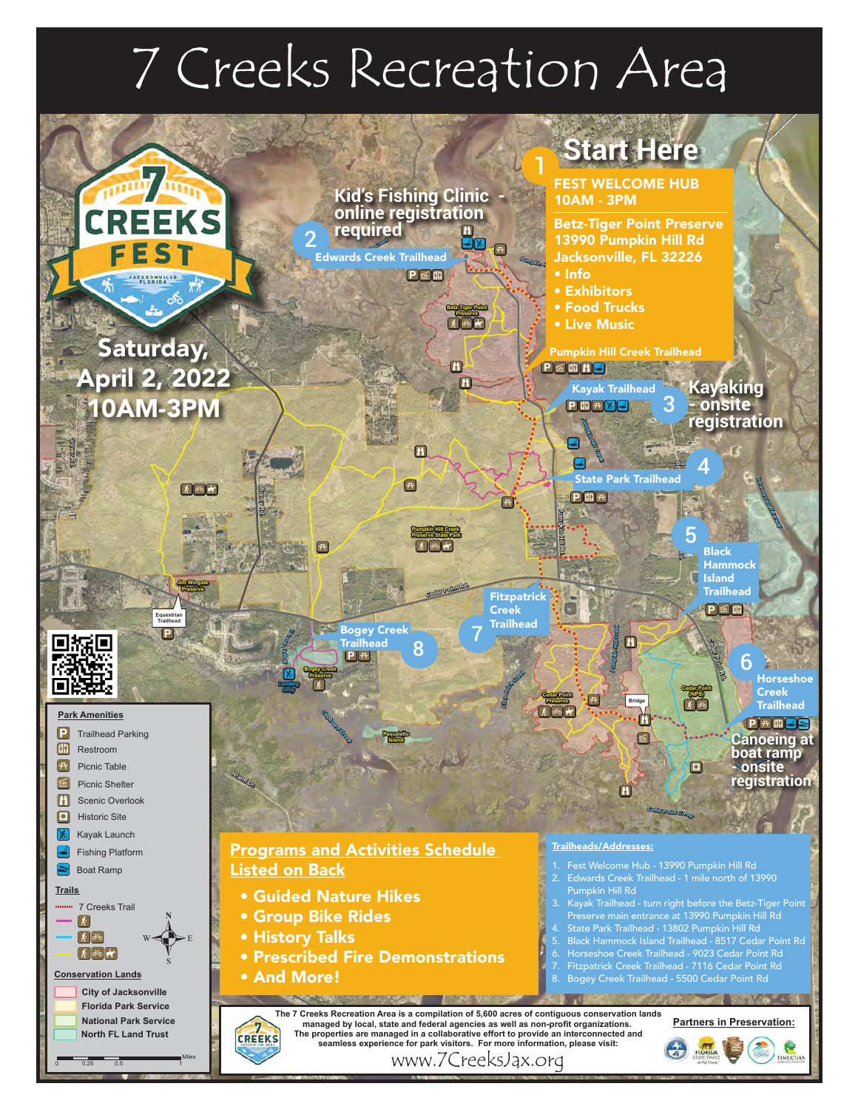# 7 Creeks Recreation Area